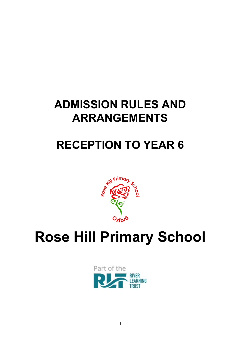# **ADMISSION RULES AND ARRANGEMENTS**

# **RECEPTION TO YEAR 6**



# **Rose Hill Primary School**

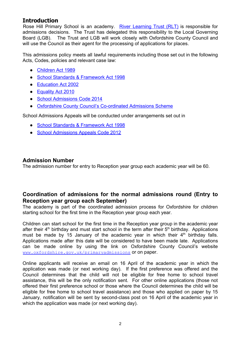# **Introduction**

Rose Hill Primary School is an academy. River Learning Trust (RLT) is responsible for admissions decisions. The Trust has delegated this responsibility to the Local Governing Board (LGB). The Trust and LGB will work closely with Oxfordshire County Council and will use the Council as their agent for the processing of applications for places.

This admissions policy meets all lawful requirements including those set out in the following Acts, Codes, policies and relevant case law:

- [Children Act 1989](http://www.legislation.gov.uk/ukpga/1989/41/contents)
- [School Standards & Framework Act 1998](http://www.legislation.gov.uk/ukpga/1998/31/contents)
- [Education Act 2002](http://www.legislation.gov.uk/ukpga/2002/32/contents)
- [Equality Act 2010](http://www.legislation.gov.uk/ukpga/2010/15/contents)
- [School Admissions Code 2014](http://www.gov.uk/government/publications/school-admissions-code--2)
- [Oxfordshire County Council's Co-ordinated Admissions Scheme](http://www.oxfordshire.gov.uk/admissionrules)

School Admissions Appeals will be conducted under arrangements set out in

- [School Standards & Framework Act 1998](http://www.legislation.gov.uk/ukpga/1998/31/contents)
- [School Admissions Appeals Code 2012](http://www.gov.uk/government/publications/school-admissions-appeals-code)

#### **Admission Number**

The admission number for entry to Reception year group each academic year will be 60.

# **Coordination of admissions for the normal admissions round (Entry to Reception year group each September)**

The academy is part of the coordinated admission process for Oxfordshire for children starting school for the first time in the Reception year group each year.

Children can start school for the first time in the Reception year group in the academic year after their  $4<sup>th</sup>$  birthday and must start school in the term after their  $5<sup>th</sup>$  birthday. Applications must be made by 15 January of the academic year in which their  $4<sup>th</sup>$  birthday falls. Applications made after this date will be considered to have been made late. Applications can be made online by using the link on Oxfordshire County Council's website [www.oxfordshire.gov.uk/primaryadmissions](http://www.oxfordshire.gov.uk/primaryadmissions) or on paper.

Online applicants will receive an email on 16 April of the academic year in which the application was made (or next working day). If the first preference was offered and the Council determines that the child will not be eligible for free home to school travel assistance, this will be the only notification sent. For other online applications (those not offered their first preference school or those where the Council determines the child will be eligible for free home to school travel assistance) and those who applied on paper by 15 January, notification will be sent by second-class post on 16 April of the academic year in which the application was made (or next working day).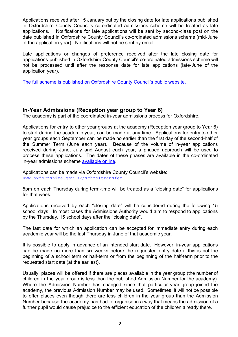Applications received after 15 January but by the closing date for late applications published in Oxfordshire County Council's co-ordinated admissions scheme will be treated as late applications. Notifications for late applications will be sent by second-class post on the date published in Oxfordshire County Council's co-ordinated admissions scheme (mid-June of the application year). Notifications will not be sent by email.

Late applications or changes of preference received after the late closing date for applications published in Oxfordshire County Council's co-ordinated admissions scheme will not be processed until after the response date for late applications (late-June of the application year).

[The full scheme is published on Oxfordshire County Council's public website.](http://www.oxfordshire.gov.uk/admissionrules)

#### **In-Year Admissions (Reception year group to Year 6)**

The academy is part of the coordinated in-year admissions process for Oxfordshire.

Applications for entry to other year groups at the academy (Reception year group to Year 6) to start during the academic year, can be made at any time. Applications for entry to other year groups each September can be made no earlier than the first day of the second-half of the Summer Term (June each year). Because of the volume of in-year applications received during June, July and August each year, a phased approach will be used to process these applications. The dates of these phases are available in the co-ordinated in-year admissions scheme [available online](http://www.oxfordshire.gov.uk/admissionrules).

Applications can be made via Oxfordshire County Council's website: www.oxfordshire.gov.uk/schooltransfer

5pm on each Thursday during term-time will be treated as a "closing date" for applications for that week.

Applications received by each "closing date" will be considered during the following 15 school days. In most cases the Admissions Authority would aim to respond to applications by the Thursday, 15 school days after the "closing date".

The last date for which an application can be accepted for immediate entry during each academic year will be the last Thursday in June of that academic year.

It is possible to apply in advance of an intended start date. However, in-year applications can be made no more than six weeks before the requested entry date if this is not the beginning of a school term or half-term or from the beginning of the half-term prior to the requested start date (at the earliest).

Usually, places will be offered if there are places available in the year group (the number of children in the year group is less than the published Admission Number for the academy). Where the Admission Number has changed since that particular year group joined the academy, the previous Admission Number may be used. Sometimes, it will not be possible to offer places even though there are less children in the year group than the Admission Number because the academy has had to organise in a way that means the admission of a further pupil would cause prejudice to the efficient education of the children already there.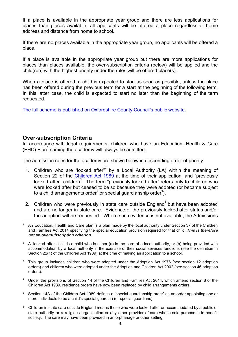If a place is available in the appropriate year group and there are less applications for places than places available, all applicants will be offered a place regardless of home address and distance from home to school.

If there are no places available in the appropriate year group, no applicants will be offered a place.

If a place is available in the appropriate year group but there are more applications for places than places available, the over-subscription criteria (below) will be applied and the child(ren) with the highest priority under the rules will be offered place(s).

When a place is offered, a child is expected to start as soon as possible, unless the place has been offered during the previous term for a start at the beginning of the following term. In this latter case, the child is expected to start no later than the beginning of the term requested.

[The full scheme is published on Oxfordshire County Council's public website.](http://www.oxfordshire.gov.uk/admissionrules)

### **Over-subscription Criteria**

In accordance with legal requirements, children who have an Education, Health & Care  $(EHC)$  Plan<sup>1</sup> naming the academy will always be admitted.

The admission rules for the academy are shown below in descending order of priority.

- 1. Children who are "looked after" by a Local Authority (LA) within the meaning of Section 22 of the [Children](http://www.legislation.gov.uk/ukpga/1989/41/contents) Act 1989 at the time of their application, and "previously looked after" children<sup>3</sup>. The term "previously looked after" refers only to children who were looked after but ceased to be so because they were adopted (or became subject to a child arrangements order<sup>4</sup> or special guardianship order<sup>5</sup>).
- 2. Children who were previously in state care outside  $England<sup>6</sup>$  but have been adopted and are no longer in state care. Evidence of the previously looked after status and/or the adoption will be requested. Where such evidence is not available, the Admissions

- <sup>2</sup> A 'looked after child' is a child who is either (a) in the care of a local authority, or (b) being provided with accommodation by a local authority in the exercise of their social services functions (see the definition in Section 22(1) of the Children Act 1989) at the time of making an application to a school.
- <sup>3</sup> This group includes children who were adopted under the Adoption Act 1976 (see section 12 adoption orders) and children who were adopted under the Adoption and Children Act 2002 (see section 46 adoption orders).
- <sup>4</sup> Under the provisions of Section 14 of the Children and Families Act 2014, which amend section 8 of the Children Act 1989, residence orders have now been replaced by child arrangements orders.
- <sup>5</sup> Section 14A of the Children Act 1989 defines a 'special guardianship order' as an order appointing one or more individuals to be a child's special guardian (or special guardians).
- <sup>6</sup> Children in state care outside England means those who were looked after or accommodated by a public or state authority or a religious organisation or any other provider of care whose sole purpose is to benefit society. The care may have been provided in an orphanage or other setting.

<sup>&</sup>lt;sup>1</sup> An Education, Health and Care plan is a plan made by the local authority under Section 37 of the Children and Families Act 2014 specifying the special education provision required for that child. *This is therefore not an oversubscription criterion.*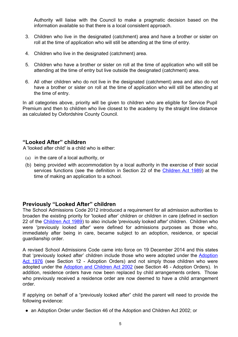Authority will liaise with the Council to make a pragmatic decision based on the information available so that there is a local consistent approach.

- 3. Children who live in the designated (catchment) area and have a brother or sister on roll at the time of application who will still be attending at the time of entry.
- 4. Children who live in the designated (catchment) area.
- 5. Children who have a brother or sister on roll at the time of application who will still be attending at the time of entry but live outside the designated (catchment) area.
- 6. All other children who do not live in the designated (catchment) area and also do not have a brother or sister on roll at the time of application who will still be attending at the time of entry.

In all categories above, priority will be given to children who are eligible for Service Pupil Premium and then to children who live closest to the academy by the straight line distance as calculated by Oxfordshire County Council.

### **"Looked After" children**

A 'looked after child' is a child who is either:

- (a) in the care of a local authority, or
- (b) being provided with accommodation by a local authority in the exercise of their social services functions (see the definition in Section 22 of the [Children](http://www.legislation.gov.uk/ukpga/1989/41/contents) Act 1989) at the time of making an application to a school.

# **Previously "Looked After" children**

The School Admissions Code 2012 introduced a requirement for all admission authorities to broaden the existing priority for 'looked after' children or children in care (defined in section 22 of the [Children](http://www.legislation.gov.uk/ukpga/1989/41/contents) Act 1989) to also include 'previously looked after' children. Children who were 'previously looked after' were defined for admissions purposes as those who, immediately after being in care, became subject to an adoption, residence, or special guardianship order.

A revised School Admissions Code came into force on 19 December 2014 and this states that 'previously looked after' children include those who were adopted under the [Adoption](http://www.legislation.gov.uk/ukpga/1976/36/contents) Act [1976](http://www.legislation.gov.uk/ukpga/1976/36/contents) (see Section 12 - Adoption Orders) and not simply those children who were adopted under the [Adoption](http://www.legislation.gov.uk/ukpga/2002/38/contents) and Children Act 2002 (see Section 46 - Adoption Orders). In addition, residence orders have now been replaced by child arrangements orders. Those who previously received a residence order are now deemed to have a child arrangement order.

If applying on behalf of a "previously looked after" child the parent will need to provide the following evidence:

• an Adoption Order under Section 46 of the Adoption and Children Act 2002; or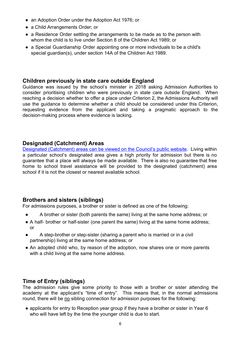- an Adoption Order under the Adoption Act 1976; or
- a Child Arrangements Order; or
- a Residence Order settling the arrangements to be made as to the person with whom the child is to live under Section 8 of the Children Act 1989; or
- a Special Guardianship Order appointing one or more individuals to be a child's special guardian(s), under section 14A of the Children Act 1989.

### **Children previously in state care outside England**

Guidance was issued by the school's minister in 2018 asking Admission Authorities to consider prioritising children who were previously in state care outside England. When reaching a decision whether to offer a place under Criterion 2, the Admissions Authority will use the guidance to determine whether a child should be considered under this Criterion, requesting evidence from the applicant and taking a pragmatic approach to the decision-making process where evidence is lacking.

### **Designated (Catchment) Areas**

Designated [\(Catchment\)](https://www.oxfordshire.gov.uk/residents/schools/list) areas can be viewed on the Council's public website. Living within a particular school's designated area gives a high priority for admission but there is no guarantee that a place will always be made available. There is also no guarantee that free home to school travel assistance will be provided to the designated (catchment) area school if it is not the closest or nearest available school.

# **Brothers and sisters (siblings)**

For admissions purposes, a brother or sister is defined as one of the following:

- A brother or sister (both parents the same) living at the same home address; or
- A half- brother or half-sister (one parent the same) living at the same home address; or
- A step-brother or step-sister (sharing a parent who is married or in a civil partnership) living at the same home address; or
- An adopted child who, by reason of the adoption, now shares one or more parents with a child living at the same home address.

### **Time of Entry (siblings)**

The admission rules give some priority to those with a brother or sister attending the academy at the applicant's "time of entry". This means that, in the normal admissions round, there will be no sibling connection for admission purposes for the following:

• applicants for entry to Reception year group if they have a brother or sister in Year 6 who will have left by the time the younger child is due to start.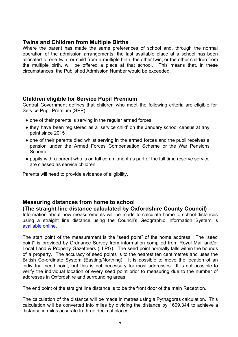# **Twins and Children from Multiple Births**

Where the parent has made the same preferences of school and, through the normal operation of the admission arrangements, the last available place at a school has been allocated to one twin, or child from a multiple birth, the other twin, or the other children from the multiple birth, will be offered a place at that school. This means that, in these circumstances, the Published Admission Number would be exceeded.

### **Children eligible for Service Pupil Premium**

Central Government defines that children who meet the following criteria are eligible for Service Pupil Premium (SPP):

- one of their parents is serving in the regular armed forces
- they have been registered as a 'service child' on the January school census at any point since 2015
- one of their parents died whilst serving in the armed forces and the pupil receives a pension under the Armed Forces Compensation Scheme or the War Pensions Scheme
- pupils with a parent who is on full commitment as part of the full time reserve service are classed as service children

Parents will need to provide evidence of eligibility.

# **Measuring distances from home to school**

### **(The straight line distance calculated by Oxfordshire County Council)**

Information about how measurements will be made to calculate home to school distances using a straight line distance using the Council's Geographic Information System is [available online.](http://www.oxfordshire.gov.uk/admissionrules)

The start point of the measurement is the "seed point" of the home address. The "seed point" is provided by Ordnance Survey from information compiled from Royal Mail and/or Local Land & Property Gazetteers (LLPG). The seed point normally falls within the bounds of a property. The accuracy of seed points is to the nearest ten centimetres and uses the British Co-ordinate System (Easting/Northing). It is possible to move the location of an individual seed point, but this is not necessary for most addresses. It is not possible to verify the individual location of every seed point prior to measuring due to the number of addresses in Oxfordshire and surrounding areas.

The end point of the straight line distance is to be the front door of the main Reception.

The calculation of the distance will be made in metres using a Pythagoras calculation. This calculation will be converted into miles by dividing the distance by 1609.344 to achieve a distance in miles accurate to three decimal places.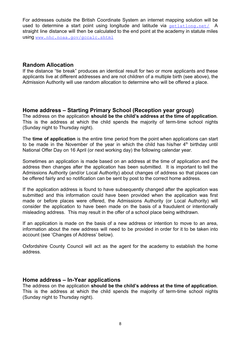For addresses outside the British Coordinate System an internet mapping solution will be used to determine a start point using longitude and latitude via  $getlationq.net/A$ straight line distance will then be calculated to the end point at the academy in statute miles using [www.nhc.noaa.gov/gccalc.shtml](http://www.nhc.noaa.gov/gccalc.shtml)

#### **Random Allocation**

If the distance "tie break" produces an identical result for two or more applicants and these applicants live at different addresses and are not children of a multiple birth (see above), the Admission Authority will use random allocation to determine who will be offered a place.

# **Home address – Starting Primary School (Reception year group)**

The address on the application **should be the child's address at the time of application**. This is the address at which the child spends the majority of term-time school nights (Sunday night to Thursday night).

The **time of application** is the entire time period from the point when applications can start to be made in the November of the year in which the child has his/her  $4<sup>th</sup>$  birthday until National Offer Day on 16 April (or next working day) the following calendar year.

Sometimes an application is made based on an address at the time of application and the address then changes after the application has been submitted. It is important to tell the Admissions Authority (and/or Local Authority) about changes of address so that places can be offered fairly and so notification can be sent by post to the correct home address.

If the application address is found to have subsequently changed after the application was submitted and this information could have been provided when the application was first made or before places were offered, the Admissions Authority (or Local Authority) will consider the application to have been made on the basis of a fraudulent or intentionally misleading address. This may result in the offer of a school place being withdrawn.

If an application is made on the basis of a new address or intention to move to an area, information about the new address will need to be provided in order for it to be taken into account (see 'Changes of Address' below).

Oxfordshire County Council will act as the agent for the academy to establish the home address.

### **Home address – In-Year applications**

The address on the application **should be the child's address at the time of application**. This is the address at which the child spends the majority of term-time school nights (Sunday night to Thursday night).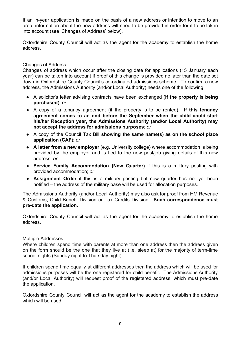If an in-year application is made on the basis of a new address or intention to move to an area, information about the new address will need to be provided in order for it to be taken into account (see 'Changes of Address' below).

Oxfordshire County Council will act as the agent for the academy to establish the home address.

#### Changes of Address

Changes of address which occur after the closing date for applications (15 January each year) can be taken into account if proof of this change is provided no later than the date set down in Oxfordshire County Council's co-ordinated admissions scheme. To confirm a new address, the Admissions Authority (and/or Local Authority) needs one of the following:

- A solicitor's letter advising contracts have been exchanged (**if the property is being purchased**); *or*
- A copy of a tenancy agreement (if the property is to be rented). **If this tenancy agreement comes to an end before the September when the child could start his/her Reception year, the Admissions Authority (and/or Local Authority) may not accept the address for admissions purposes**; *or*
- A copy of the Council Tax Bill **showing the same name(s) as on the school place application (CAF**); *or*
- **A letter from a new employer** (e.g. University college) where accommodation is being provided by the employer and is tied to the new post/job giving details of this new address; *or*
- **Service Family Accommodation (New Quarter)** if this is a military posting with provided accommodation; *or*
- **Assignment Order** if this is a military posting but new quarter has not yet been notified – the address of the military base will be used for allocation purposes.

The Admissions Authority (and/or Local Authority) may also ask for proof from HM Revenue & Customs, Child Benefit Division or Tax Credits Division. **Such correspondence must pre-date the application.**

Oxfordshire County Council will act as the agent for the academy to establish the home address.

#### Multiple Addresses

Where children spend time with parents at more than one address then the address given on the form should be the one that they live at (i.e. sleep at) for the majority of term-time school nights (Sunday night to Thursday night).

If children spend time equally at different addresses then the address which will be used for admissions purposes will be the one registered for child benefit. The Admissions Authority (and/or Local Authority) will request proof of the registered address, which must pre-date the application.

Oxfordshire County Council will act as the agent for the academy to establish the address which will be used.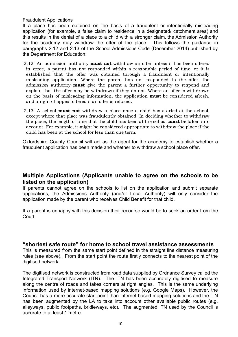Fraudulent Applications

If a place has been obtained on the basis of a fraudulent or intentionally misleading application (for example, a false claim to residence in a designated/ catchment area) and this results in the denial of a place to a child with a stronger claim, the Admission Authority for the academy may withdraw the offer of the place. This follows the guidance in paragraphs 2.12 and 2.13 of the School Admissions Code (December 2014) published by the Department for Education:

- $[2.12]$  An admission authority **must not** withdraw an offer unless it has been offered in error, a parent has not responded within a reasonable period of time, or it is established that the offer was obtained through a fraudulent or intentionally misleading application. Where the parent has not responded to the offer, the admission authority **must** give the parent a further opportunity to respond and explain that the offer may be withdrawn if they do not. Where an offer is withdrawn on the basis of misleading information, the application **must** be considered afresh, and a right of appeal offered if an offer is refused.
- $[2.13]$  A school **must not** withdraw a place once a child has started at the school, except where that place was fraudulently obtained. In deciding whether to withdraw the place, the length of time that the child has been at the school **must** be taken into account. For example, it might be considered appropriate to withdraw the place if the child has been at the school for less than one term.

Oxfordshire County Council will act as the agent for the academy to establish whether a fraudulent application has been made and whether to withdraw a school place offer.

### **Multiple Applications (Applicants unable to agree on the schools to be listed on the application)**

If parents cannot agree on the schools to list on the application and submit separate applications, the Admissions Authority (and/or Local Authority) will only consider the application made by the parent who receives Child Benefit for that child.

If a parent is unhappy with this decision their recourse would be to seek an order from the Court.

#### **"shortest safe route" for home to school travel assistance assessments**

This is measured from the same start point defined in the straight line distance measuring rules (see above). From the start point the route firstly connects to the nearest point of the digitised network.

The digitised network is constructed from road data supplied by Ordnance Survey called the Integrated Transport Network (ITN). The ITN has been accurately digitised to measure along the centre of roads and takes corners at right angles. This is the same underlying information used by internet-based mapping solutions (e.g. Google Maps). However, the Council has a more accurate start point than internet-based mapping solutions and the ITN has been augmented by the LA to take into account other available public routes (e.g. alleyways, public footpaths, bridleways, etc). The augmented ITN used by the Council is accurate to at least 1 metre.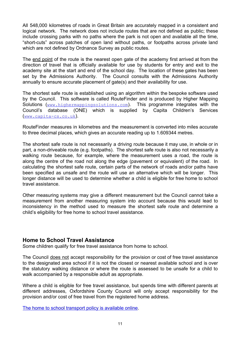All 548,000 kilometres of roads in Great Britain are accurately mapped in a consistent and logical network. The network does not include routes that are not defined as public; these include crossing parks with no paths where the park is not open and available all the time, "short-cuts" across patches of open land without paths, or footpaths across private land which are not defined by Ordnance Survey as public routes.

The end point of the route is the nearest open gate of the academy first arrived at from the direction of travel that is officially available for use by students for entry and exit to the academy site at the start and end of the school day. The location of these gates has been set by the Admissions Authority. The Council consults with the Admissions Authority annually to ensure accurate placement of gate(s) and their availability for use.

The shortest safe route is established using an algorithm within the bespoke software used by the Council. This software is called RouteFinder and is produced by Higher Mapping Solutions (www.highermappingsolutions.com). This programme integrates with the Council's database (ONE) which is supplied by Capita Children's Services ([www.capita-cs.co.uk](http://www.capita-cs.co.uk/)).

RouteFinder measures in kilometres and the measurement is converted into miles accurate to three decimal places, which gives an accurate reading up to 1.609344 metres.

The shortest safe route is not necessarily a driving route because it may use, in whole or in part, a non-driveable route (e.g. footpaths). The shortest safe route is also not necessarily a walking route because, for example, where the measurement uses a road, the route is along the centre of the road not along the edge (pavement or equivalent) of the road. In calculating the shortest safe route, certain parts of the network of roads and/or paths have been specified as unsafe and the route will use an alternative which will be longer. This longer distance will be used to determine whether a child is eligible for free home to school travel assistance.

Other measuring systems may give a different measurement but the Council cannot take a measurement from another measuring system into account because this would lead to inconsistency in the method used to measure the shortest safe route and determine a child's eligibility for free home to school travel assistance.

#### **Home to School Travel Assistance**

Some children qualify for free travel assistance from home to school.

The Council does not accept responsibility for the provision or cost of free travel assistance to the designated area school if it is not the closest or nearest available school and is over the statutory walking distance or where the route is assessed to be unsafe for a child to walk accompanied by a responsible adult as appropriate.

Where a child is eligible for free travel assistance, but spends time with different parents at different addresses, Oxfordshire County Council will only accept responsibility for the provision and/or cost of free travel from the registered home address.

[The home to school transport policy is available online](http://www.oxfordshire.gov.uk/schooltransport).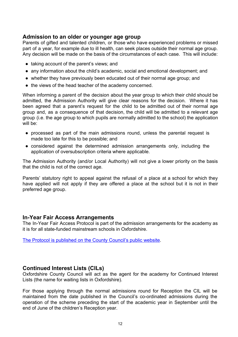## **Admission to an older or younger age group**

Parents of gifted and talented children, or those who have experienced problems or missed part of a year, for example due to ill health, can seek places outside their normal age group. Any decision will be made on the basis of the circumstances of each case. This will include:

- taking account of the parent's views; and
- any information about the child's academic, social and emotional development; and
- whether they have previously been educated out of their normal age group; and
- the views of the head teacher of the academy concerned.

When informing a parent of the decision about the year group to which their child should be admitted, the Admission Authority will give clear reasons for the decision. Where it has been agreed that a parent's request for the child to be admitted out of their normal age group and, as a consequence of that decision, the child will be admitted to a relevant age group (i.e. the age group to which pupils are normally admitted to the school) the application will be:

- processed as part of the main admissions round, unless the parental request is made too late for this to be possible; and
- considered against the determined admission arrangements only, including the application of oversubscription criteria where applicable.

The Admission Authority (and/or Local Authority) will not give a lower priority on the basis that the child is not of the correct age.

Parents' statutory right to appeal against the refusal of a place at a school for which they have applied will not apply if they are offered a place at the school but it is not in their preferred age group.

#### **In-Year Fair Access Arrangements**

The In-Year Fair Access Protocol is part of the admission arrangements for the academy as it is for all state-funded mainstream schools in Oxfordshire.

[The Protocol is published on the County Council's public website.](http://www.oxfordshire.gov.uk/admissionrules)

#### **Continued Interest Lists (CILs)**

Oxfordshire County Council will act as the agent for the academy for Continued Interest Lists (the name for waiting lists in Oxfordshire).

For those applying through the normal admissions round for Reception the CIL will be maintained from the date published in the Council's co-ordinated admissions during the operation of the scheme preceding the start of the academic year in September until the end of June of the children's Reception year.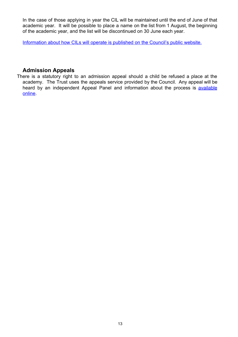In the case of those applying in year the CIL will be maintained until the end of June of that academic year. It will be possible to place a name on the list from 1 August, the beginning of the academic year, and the list will be discontinued on 30 June each year.

[Information about how CILs will operate is published on the Council's public website.](http://www.oxfordshire.gov.uk/continuedinterest)

### **Admission Appeals**

There is a statutory right to an admission appeal should a child be refused a place at the academy. The Trust uses the appeals service provided by the Council. Any appeal will be heard by an independent Appeal Panel and information about the process is [available](http://www.oxfordshire.gov.uk/schoolappeals) [online.](http://www.oxfordshire.gov.uk/schoolappeals)